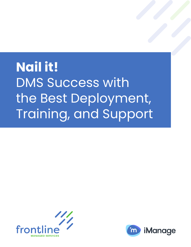# **Nail it!** DMS Success with the Best Deployment, Training, and Support



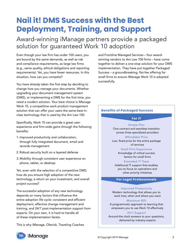# **Nail it! DMS Success with the Best Deployment, Training, and Support**

# Award-winning iManage partners provide a packaged solution for guaranteed Work 10 adoption

Even though your law firm has under 100 users, you are bound by the same demands, as well as risk and compliance requirements, as large law firms (e.g., same quality, ethical obligations and reporting requirements). Yet, you have fewer resources. In this situation, how can you compete?

You have already taken the first step by deciding to change how you manage your documents. Whether upgrading your document management system (DMS), or implementing a DMS for the first time, you need a modern solution. Your best choice is iManage Work 10, a competitive work product management solution that can offer your users the same best-inclass technology that is used by the Am Law 100.

Specifically, Work 10 can provide a great userexperience and firm-wide gains through the following benefits:

- 1. Improved productivity and collaboration, through fully integrated document, email and records management
- 2. Robust security built on a layered defense
- 3. Mobility through consistent user experience on phone, tablet, or desktop

Yet, even with the selection of a competitive DMS, how do you ensure high adoption of the new technology, a return on your investment, and overall project success?

The successful adoption of any new technology depends on many factors that influence the entire adoption life cycle: consistent and efficient deployment, effective change management and training, and 24/7 post-implementation support from experts. On your own, it is hard to handle all of these implementation facets.

This is why iManage, Olenick, Traveling Coaches

and Frontline Managed Services – four awardwinning vendors to Am Law 100 firms – have come together to deliver a one-stop solution for your DMS implementation. They have put together Packaged Success – a groundbreaking, flat-fee offering for small firms to ensure iManage Work 10 is adopted successfully.

### **Benefits of Packaged Success**

#### **For IT**

Simple Plan One contract and seamless transition across three specialized providers

#### Affordable Price

Low, fixed price for the entire package of services

> Small Firm Experience Knowledge of critical success factors for small firms

#### Extended IT Team

Additional IT support that enables you to focus on operations and other priority initiatives

#### **For Legal Professionals**

#### Improved Productivity

Modern technology that allows you to work how, when and where you want

#### Maximum ROI

A programmatic approach to learning that empowers you to use Work 10 effectively

### 24/7 Support

Around-the clock answers to your questions, delivered by industry experts

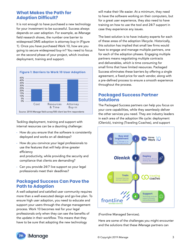# **What Makes the Path for Adoption Difficult?**

It is not enough to have purchased a new technology for your investment to be successful. Success always depends on user adoption. For example, as iManage field research shows, the number one barrier to widespread DMS adoption is attorney buy-in (Figure 1). Once you have purchased Work 10, how are you going to secure widespread buy-in? You need to focus on the second phase of your project, which involves deployment, training and support.



Tackling deployment, training and support with internal resources can be a daunting challenge:

- How do you ensure that the software is consistently deployed and works on all desktops?
- How do you convince your legal professionals to use the features that will help drive greater efficiency

and productivity, while providing the security and compliance that clients are demanding?

• Can you provide 24/7 live support so your legal professionals meet their deadlines?

# **Packaged Success Can Pave the Path to Adoption**

A well-adopted and satisfied user community requires more than a well-executed design and go-live plan. To ensure high user adoption, you need to educate and support your users through the change management process. Work 10 becomes real for your legal professionals only when they can see the benefits of the update in their workflow. This means that they have to be sure that adopting the new technology

will make their life easier. At a minimum, they need to have the software working on their computers, but for a great user experience, they also need to have training on how to use the tool and 24/7 support in case they experience any issues.

The best solution is to have industry experts for each of these areas of the adoption lifecycle. Historically, this solution has implied that small law firms would have to engage and manage multiple partners, one for each of the adoption phases. Engaging multiple partners means negotiating multiple contracts and deliverables, which is time consuming for small firms that have limited resources. Packaged Success eliminates these barriers by offering a single agreement, a fixed price for each vendor, along with a pre-defined process to ensure a smooth experience throughout the process.

# **Packaged Success Partner Solutions**

The Packaged Success partners can help you focus on your core capabilities, while they seamlessly deliver the other services you need. They are industry leaders in each area of the adoption life cycle: deployment (Olenick), training (Traveling Coaches), and support



(Frontline Managed Services).

Here are some of the challenges you might encounter and the solutions that these iManage partners can

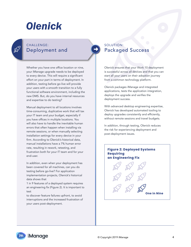# **Olenick**

## CHALLENGE: Deployment and

Whether you have one office location or nine, your iManage upgrade needs to be deployed to every device. This will require a significant effort on your part in terms of deployment. In addition, testing before go-live will provide your users with a smooth transition to a fully functional software environment, including the new DMS. But, do you have internal resources and expertise to do testing?

Manual deployment to all locations involves time-consuming, duplicative work that will tax your IT team and your budget, especially if you have offices in multiple locations. You will also have to handle the inevitable human errors that often happen when installing via remote sessions, or when manually selecting installation settings for every device in your firm. According to Olenick's historical data, manual installations have a 7% human error rate, resulting in rework, retesting, and frustration both for your IT team and for your end-user.

In addition, even when your deployment has been covered for all machines, can you do testing before go-live? For application implementation projects, Olenick's historical data shows that

1 in 9 features of a deployed system requires an engineering fix (Figure 2). It is important to test

to discover feature failures upfront, to avoid interruptions and the increased frustration of your users post-deployment.

# SOLUTION: Packaged Success

Olenick ensures that your Work 10 deployment is successful across all devices and that you can start all your users on their adoption journey from a common technology platform.

Olenick packages iManage and integrated applications, tests the application integration, deploys the upgrade and verifies the deployment success.

With advanced desktop engineering expertise, Olenick has developed automated tooling to deploy upgrades consistently and efficiently, without remote sessions and travel budgets.

In addition, through testing, Olenick reduces the risk for experiencing deployment and post-deployment issues.

### **Figure 2: Deployed Systems Requiring an Engineering Fix**



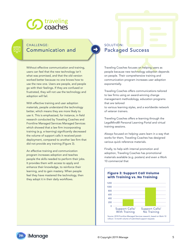

# CHALLENGE: Communication and

 $\overline{\square}$ 

Without effective communication and training, users can feel that the new technology isn't what was promised, and that the old version worked better because no one knows how to use the new one. Users are people, and people go with their feelings. If they are confused or frustrated, they will not use the technology and adoption will fail.

With effective training and user adoption materials, people understand the technology better, which means they are more likely to use it. This is emphasized, for instance, in field research conducted by Traveling Coaches and Frontline Managed Services Managed Services which showed that a law firm incorporating training (e.g. e-learning) significantly decreased the volume of support calls it received postdeployment, compared to another law firm that did not provide any training (Figure 3).

An effective training and communication program increases adoption and teaches people the skills needed to perform their jobs. It provides them with access to apply and enhance their knowledge, to reinforce their learning, and to gain mastery. When people feel they have mastered the technology, then they adopt it in their daily workflows.

SOLUTION: Packaged Success

Traveling Coaches focuses on helping users as people because new technology adoption depends on people. Their comprehensive training and communication program increases user adoption exponentially.

Traveling Coaches offers communications tailored to law firms using an award-winning change management methodology, education programs that are tailored

to various learning styles, and a worldwide network of veteran trainers.

Traveling Coaches offers e-learning through the LegalMind® Personal Learning Portal and virtual training sessions.

Always focused on helping users learn in a way that works for them, Traveling Coaches has designed various quick reference materials.

Finally, to help with internal promotion and adoption, Traveling Coaches has promotional materials available (e.g. posters) and even a Work 10 commercial that



# **Figure 3: Support Call Volume**

iManage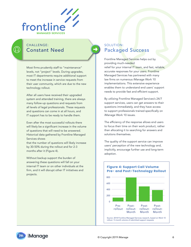

# CHALLENGE: Constant Need

Most firms prudently staff to "maintenance" levels, not "project" levels. During upgrades, most IT departments require additional support to meet the increase in service requests from their user community, which are due to the new technology rollout.

After all users have received their upgraded system and attended training, there are always many follow-up questions and requests from all levels of legal professionals. These requests and questions can come in at all hours, and IT support has to be ready to handle them.

Even after the most successful rollouts there will likely be a significant increase in the volume of questions that will need to be answered. Historical data gathered by Frontline Managed Services shows

that the number of questions will likely increase by 30-50% during the rollout and for 2-3 months after it (Figure 4).

Without backup support the burden of answering these questions will fall on your internal IT team or on other individuals at the firm, and it will disrupt other IT initiatives and projects.

## SOLUTION: Packaged Success

Frontline Managed Services helps out by providing much-needed

relief for your internal IT team, and fast, reliable, accurate responses for your users. Frontline Managed Services has partnered with many law firms on numerous iManage Work 10 implementations. This extensive experience enables them to understand end users' support needs to provide fast and efficient support.

By utilizing Frontline Managed Services's 24/7 support services, users can get answers to their questions immediately, and they have access to support professionals trained specifically on iManage Work 10 issues.

The efficiency of the response allows end users to focus their time on their work product, rather than allocating it to searching for answers and solutions themselves.

The quality of the support service can improve users' perception of the new technology and, implicitly, encourage further use and long-term adoption.